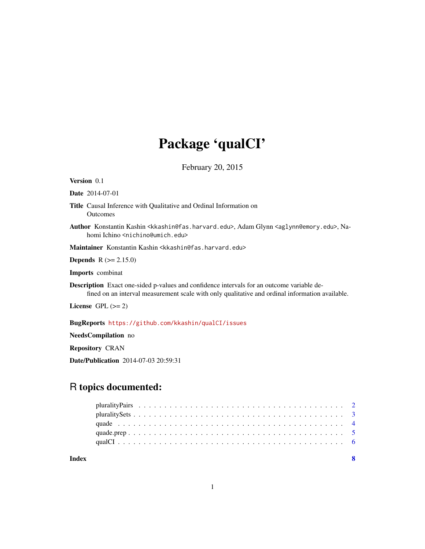## Package 'qualCI'

February 20, 2015

Version 0.1

Date 2014-07-01

Title Causal Inference with Qualitative and Ordinal Information on Outcomes

Author Konstantin Kashin <kkashin@fas.harvard.edu>, Adam Glynn <aglynn@emory.edu>, Nahomi Ichino <nichino@umich.edu>

Maintainer Konstantin Kashin <kkashin@fas.harvard.edu>

**Depends** R  $(>= 2.15.0)$ 

Imports combinat

Description Exact one-sided p-values and confidence intervals for an outcome variable defined on an interval measurement scale with only qualitative and ordinal information available.

License GPL  $(>= 2)$ 

BugReports <https://github.com/kkashin/qualCI/issues>

NeedsCompilation no

Repository CRAN

Date/Publication 2014-07-03 20:59:31

### R topics documented:

| Index |  |  |  |  |  |  |  |  |  |  |  |  |  |  |  |  |  |  |  |
|-------|--|--|--|--|--|--|--|--|--|--|--|--|--|--|--|--|--|--|--|
|       |  |  |  |  |  |  |  |  |  |  |  |  |  |  |  |  |  |  |  |
|       |  |  |  |  |  |  |  |  |  |  |  |  |  |  |  |  |  |  |  |
|       |  |  |  |  |  |  |  |  |  |  |  |  |  |  |  |  |  |  |  |
|       |  |  |  |  |  |  |  |  |  |  |  |  |  |  |  |  |  |  |  |
|       |  |  |  |  |  |  |  |  |  |  |  |  |  |  |  |  |  |  |  |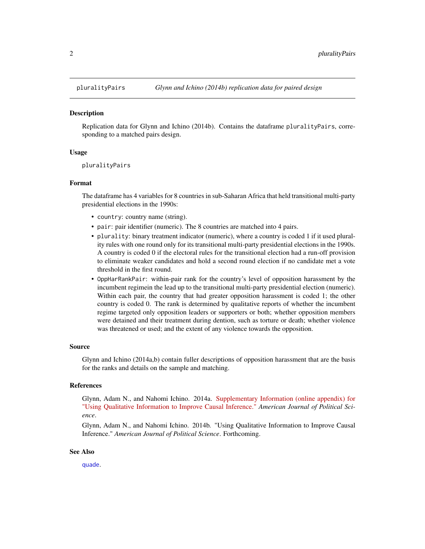<span id="page-1-0"></span>

#### Description

Replication data for Glynn and Ichino (2014b). Contains the dataframe pluralityPairs, corresponding to a matched pairs design.

#### Usage

pluralityPairs

#### Format

The dataframe has 4 variables for 8 countries in sub-Saharan Africa that held transitional multi-party presidential elections in the 1990s:

- country: country name (string).
- pair: pair identifier (numeric). The 8 countries are matched into 4 pairs.
- plurality: binary treatment indicator (numeric), where a country is coded 1 if it used plurality rules with one round only for its transitional multi-party presidential elections in the 1990s. A country is coded 0 if the electoral rules for the transitional election had a run-off provision to eliminate weaker candidates and hold a second round election if no candidate met a vote threshold in the first round.
- OppHarRankPair: within-pair rank for the country's level of opposition harassment by the incumbent regimein the lead up to the transitional multi-party presidential election (numeric). Within each pair, the country that had greater opposition harassment is coded 1; the other country is coded 0. The rank is determined by qualitative reports of whether the incumbent regime targeted only opposition leaders or supporters or both; whether opposition members were detained and their treatment during dention, such as torture or death; whether violence was threatened or used; and the extent of any violence towards the opposition.

#### Source

Glynn and Ichino (2014a,b) contain fuller descriptions of opposition harassment that are the basis for the ranks and details on the sample and matching.

#### References

Glynn, Adam N., and Nahomi Ichino. 2014a. [Supplementary Information \(online appendix\) for](http://sites.lsa.umich.edu/nichino/wp-content/uploads/sites/106/2014/06/Glynn_Ichino_qualCI_SI.pdf) ["Using Qualitative Information to Improve Causal Inference."](http://sites.lsa.umich.edu/nichino/wp-content/uploads/sites/106/2014/06/Glynn_Ichino_qualCI_SI.pdf) *American Journal of Political Science*.

Glynn, Adam N., and Nahomi Ichino. 2014b. "Using Qualitative Information to Improve Causal Inference." *American Journal of Political Science*. Forthcoming.

#### See Also

[quade](#page-3-1).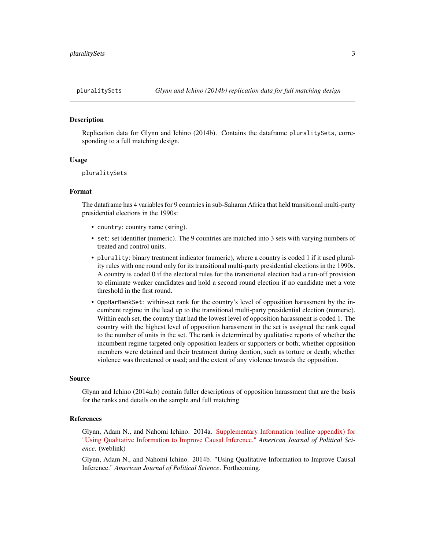<span id="page-2-0"></span>

#### Description

Replication data for Glynn and Ichino (2014b). Contains the dataframe pluralitySets, corresponding to a full matching design.

#### Usage

```
pluralitySets
```
#### Format

The dataframe has 4 variables for 9 countries in sub-Saharan Africa that held transitional multi-party presidential elections in the 1990s:

- country: country name (string).
- set: set identifier (numeric). The 9 countries are matched into 3 sets with varying numbers of treated and control units.
- plurality: binary treatment indicator (numeric), where a country is coded 1 if it used plurality rules with one round only for its transitional multi-party presidential elections in the 1990s. A country is coded 0 if the electoral rules for the transitional election had a run-off provision to eliminate weaker candidates and hold a second round election if no candidate met a vote threshold in the first round.
- OppHarRankSet: within-set rank for the country's level of opposition harassment by the incumbent regime in the lead up to the transitional multi-party presidential election (numeric). Within each set, the country that had the lowest level of opposition harassment is coded 1. The country with the highest level of opposition harassment in the set is assigned the rank equal to the number of units in the set. The rank is determined by qualitative reports of whether the incumbent regime targeted only opposition leaders or supporters or both; whether opposition members were detained and their treatment during dention, such as torture or death; whether violence was threatened or used; and the extent of any violence towards the opposition.

#### Source

Glynn and Ichino (2014a,b) contain fuller descriptions of opposition harassment that are the basis for the ranks and details on the sample and full matching.

#### References

Glynn, Adam N., and Nahomi Ichino. 2014a. [Supplementary Information \(online appendix\) for](http://sites.lsa.umich.edu/nichino/wp-content/uploads/sites/106/2014/06/Glynn_Ichino_qualCI_SI.pdf) ["Using Qualitative Information to Improve Causal Inference."](http://sites.lsa.umich.edu/nichino/wp-content/uploads/sites/106/2014/06/Glynn_Ichino_qualCI_SI.pdf) *American Journal of Political Science*. (weblink)

Glynn, Adam N., and Nahomi Ichino. 2014b. "Using Qualitative Information to Improve Causal Inference." *American Journal of Political Science*. Forthcoming.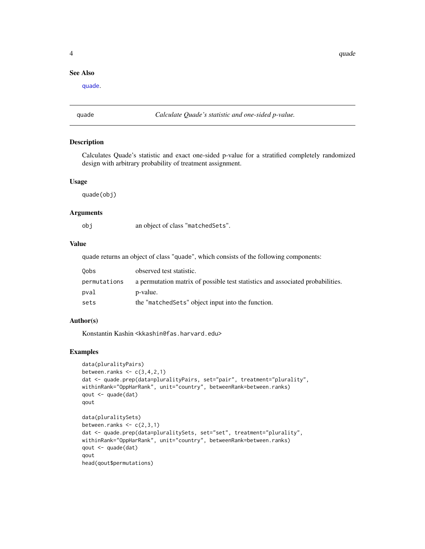#### <span id="page-3-0"></span>See Also

[quade](#page-3-1).

<span id="page-3-1"></span>quade *Calculate Quade's statistic and one-sided p-value.*

#### Description

Calculates Quade's statistic and exact one-sided p-value for a stratified completely randomized design with arbitrary probability of treatment assignment.

#### Usage

quade(obj)

#### Arguments

| an object of class "matched Sets". |
|------------------------------------|

#### Value

quade returns an object of class "quade", which consists of the following components:

| Oobs         | observed test statistic.                                                       |
|--------------|--------------------------------------------------------------------------------|
| permutations | a permutation matrix of possible test statistics and associated probabilities. |
| pval         | p-value.                                                                       |
| sets         | the "matched Sets" object input into the function.                             |

#### Author(s)

Konstantin Kashin <kkashin@fas.harvard.edu>

#### Examples

```
data(pluralityPairs)
between.ranks \leq c(3,4,2,1)dat <- quade.prep(data=pluralityPairs, set="pair", treatment="plurality",
withinRank="OppHarRank", unit="country", betweenRank=between.ranks)
qout <- quade(dat)
qout
data(pluralitySets)
between.ranks \leq c(2,3,1)dat <- quade.prep(data=pluralitySets, set="set", treatment="plurality",
withinRank="OppHarRank", unit="country", betweenRank=between.ranks)
qout <- quade(dat)
qout
head(qout$permutations)
```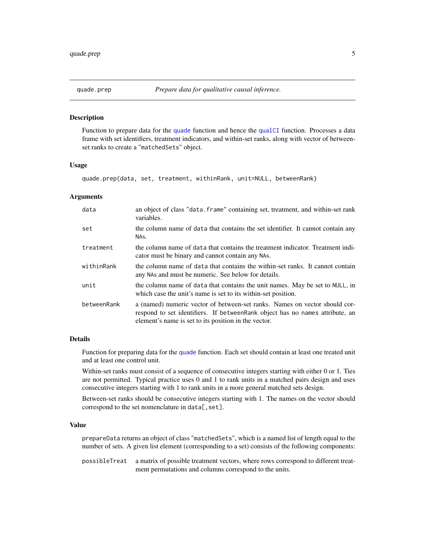<span id="page-4-0"></span>

#### Description

Function to prepare data for the [quade](#page-3-1) function and hence the [qualCI](#page-5-1) function. Processes a data frame with set identifiers, treatment indicators, and within-set ranks, along with vector of betweenset ranks to create a "matchedSets" object.

#### Usage

quade.prep(data, set, treatment, withinRank, unit=NULL, betweenRank)

#### **Arguments**

| data        | an object of class "data. frame" containing set, treatment, and within-set rank<br>variables.                                                                                                                       |
|-------------|---------------------------------------------------------------------------------------------------------------------------------------------------------------------------------------------------------------------|
| set         | the column name of data that contains the set identifier. It cannot contain any<br>NAs.                                                                                                                             |
| treatment   | the column name of data that contains the treatment indicator. Treatment indi-<br>cator must be binary and cannot contain any NAS.                                                                                  |
| withinRank  | the column name of data that contains the within-set ranks. It cannot contain<br>any NAs and must be numeric. See below for details.                                                                                |
| unit        | the column name of data that contains the unit names. May be set to NULL, in<br>which case the unit's name is set to its within-set position.                                                                       |
| betweenRank | a (named) numeric vector of between-set ranks. Names on vector should cor-<br>respond to set identifiers. If between Rank object has no names attribute, an<br>element's name is set to its position in the vector. |

#### Details

Function for preparing data for the [quade](#page-3-1) function. Each set should contain at least one treated unit and at least one control unit.

Within-set ranks must consist of a sequence of consecutive integers starting with either 0 or 1. Ties are not permitted. Typical practice uses 0 and 1 to rank units in a matched pairs design and uses consecutive integers starting with 1 to rank units in a more general matched sets design.

Between-set ranks should be consecutive integers starting with 1. The names on the vector should correspond to the set nomenclature in data[, set].

#### Value

prepareData returns an object of class "matchedSets", which is a named list of length equal to the number of sets. A given list element (corresponding to a set) consists of the following components:

possibleTreat a matrix of possible treatment vectors, where rows correspond to different treatment permutations and columns correspond to the units.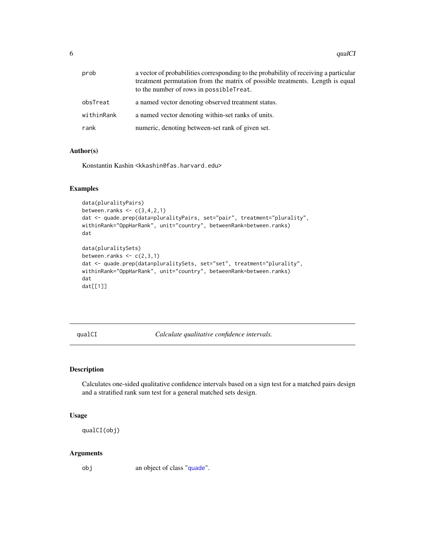<span id="page-5-0"></span>

| prob       | a vector of probabilities corresponding to the probability of receiving a particular<br>treatment permutation from the matrix of possible treatments. Length is equal<br>to the number of rows in possibleTreat. |
|------------|------------------------------------------------------------------------------------------------------------------------------------------------------------------------------------------------------------------|
| obsTreat   | a named vector denoting observed treatment status.                                                                                                                                                               |
| withinRank | a named vector denoting within-set ranks of units.                                                                                                                                                               |
| rank       | numeric, denoting between-set rank of given set.                                                                                                                                                                 |

#### Author(s)

Konstantin Kashin <kkashin@fas.harvard.edu>

#### Examples

```
data(pluralityPairs)
between.ranks \leq c(3, 4, 2, 1)dat <- quade.prep(data=pluralityPairs, set="pair", treatment="plurality",
withinRank="OppHarRank", unit="country", betweenRank=between.ranks)
dat
data(pluralitySets)
between.ranks \leq c(2,3,1)dat <- quade.prep(data=pluralitySets, set="set", treatment="plurality",
withinRank="OppHarRank", unit="country", betweenRank=between.ranks)
dat
dat[[1]]
```
<span id="page-5-1"></span>qualCI *Calculate qualitative confidence intervals.*

#### Description

Calculates one-sided qualitative confidence intervals based on a sign test for a matched pairs design and a stratified rank sum test for a general matched sets design.

#### Usage

qualCI(obj)

#### Arguments

obj an object of class "[quade](#page-3-1)".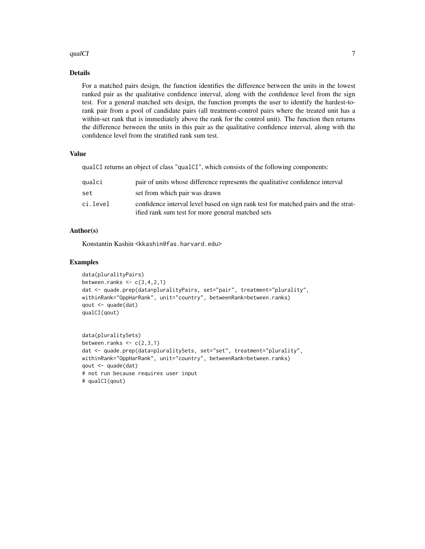#### $q$ ualCI $q$

#### Details

For a matched pairs design, the function identifies the difference between the units in the lowest ranked pair as the qualitative confidence interval, along with the confidence level from the sign test. For a general matched sets design, the function prompts the user to identify the hardest-torank pair from a pool of candidate pairs (all treatment-control pairs where the treated unit has a within-set rank that is immediately above the rank for the control unit). The function then returns the difference between the units in this pair as the qualitative confidence interval, along with the confidence level from the stratified rank sum test.

#### Value

qualCI returns an object of class "qualCI", which consists of the following components:

| qualci   | pair of units whose difference represents the qualitative confidence interval                                                           |
|----------|-----------------------------------------------------------------------------------------------------------------------------------------|
| set      | set from which pair was drawn                                                                                                           |
| ci.level | confidence interval level based on sign rank test for matched pairs and the strat-<br>ified rank sum test for more general matched sets |

#### Author(s)

Konstantin Kashin <kkashin@fas.harvard.edu>

#### Examples

```
data(pluralityPairs)
between.ranks \leq c(3,4,2,1)dat <- quade.prep(data=pluralityPairs, set="pair", treatment="plurality",
withinRank="OppHarRank", unit="country", betweenRank=between.ranks)
qout <- quade(dat)
qualCI(qout)
```

```
data(pluralitySets)
between.ranks \leq c(2,3,1)dat <- quade.prep(data=pluralitySets, set="set", treatment="plurality",
withinRank="OppHarRank", unit="country", betweenRank=between.ranks)
qout <- quade(dat)
# not run because requires user input
# qualCI(qout)
```